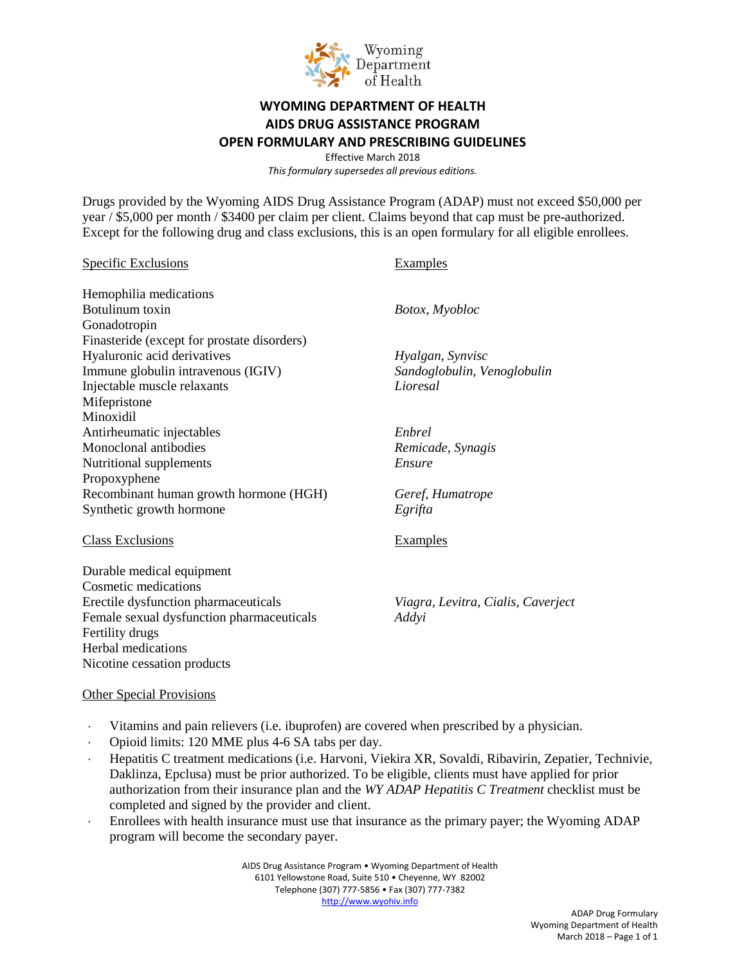

## **WYOMING DEPARTMENT OF HEALTH AIDS DRUG ASSISTANCE PROGRAM OPEN FORMULARY AND PRESCRIBING GUIDELINES**

Effective March 2018 *This formulary supersedes all previous editions.*

Drugs provided by the Wyoming AIDS Drug Assistance Program (ADAP) must not exceed \$50,000 per year / \$5,000 per month / \$3400 per claim per client. Claims beyond that cap must be pre-authorized. Except for the following drug and class exclusions, this is an open formulary for all eligible enrollees.

| <b>Specific Exclusions</b>                  | <b>Examples</b>                    |
|---------------------------------------------|------------------------------------|
| Hemophilia medications                      |                                    |
| Botulinum toxin                             | Botox, Myobloc                     |
| Gonadotropin                                |                                    |
| Finasteride (except for prostate disorders) |                                    |
| Hyaluronic acid derivatives                 | Hyalgan, Synvisc                   |
| Immune globulin intravenous (IGIV)          | Sandoglobulin, Venoglobulin        |
| Injectable muscle relaxants                 | Lioresal                           |
| Mifepristone                                |                                    |
| Minoxidil                                   |                                    |
| Antirheumatic injectables                   | Enbrel                             |
| Monoclonal antibodies                       | Remicade, Synagis                  |
| Nutritional supplements                     | Ensure                             |
| Propoxyphene                                |                                    |
| Recombinant human growth hormone (HGH)      | Geref, Humatrope                   |
| Synthetic growth hormone                    | Egrifta                            |
| <b>Class Exclusions</b>                     | <b>Examples</b>                    |
| Durable medical equipment                   |                                    |
| Cosmetic medications                        |                                    |
| Erectile dysfunction pharmaceuticals        | Viagra, Levitra, Cialis, Caverject |
| Female sexual dysfunction pharmaceuticals   | Addyi                              |
| Fertility drugs                             |                                    |
| Herbal medications                          |                                    |
| Nicotine cessation products                 |                                    |

## Other Special Provisions

- Vitamins and pain relievers (i.e. ibuprofen) are covered when prescribed by a physician.
- ⋅ Opioid limits: 120 MME plus 4-6 SA tabs per day.
- ⋅ Hepatitis C treatment medications (i.e. Harvoni, Viekira XR, Sovaldi, Ribavirin, Zepatier, Technivie, Daklinza, Epclusa) must be prior authorized. To be eligible, clients must have applied for prior authorization from their insurance plan and the *WY ADAP Hepatitis C Treatment* checklist must be completed and signed by the provider and client.
- ⋅ Enrollees with health insurance must use that insurance as the primary payer; the Wyoming ADAP program will become the secondary payer.

AIDS Drug Assistance Program • Wyoming Department of Health 6101 Yellowstone Road, Suite 510 • Cheyenne, WY 82002 Telephone (307) 777-5856 • Fax (307) 777-7382 [http://www.wyohiv.info](http://www.wyohiv.info/)